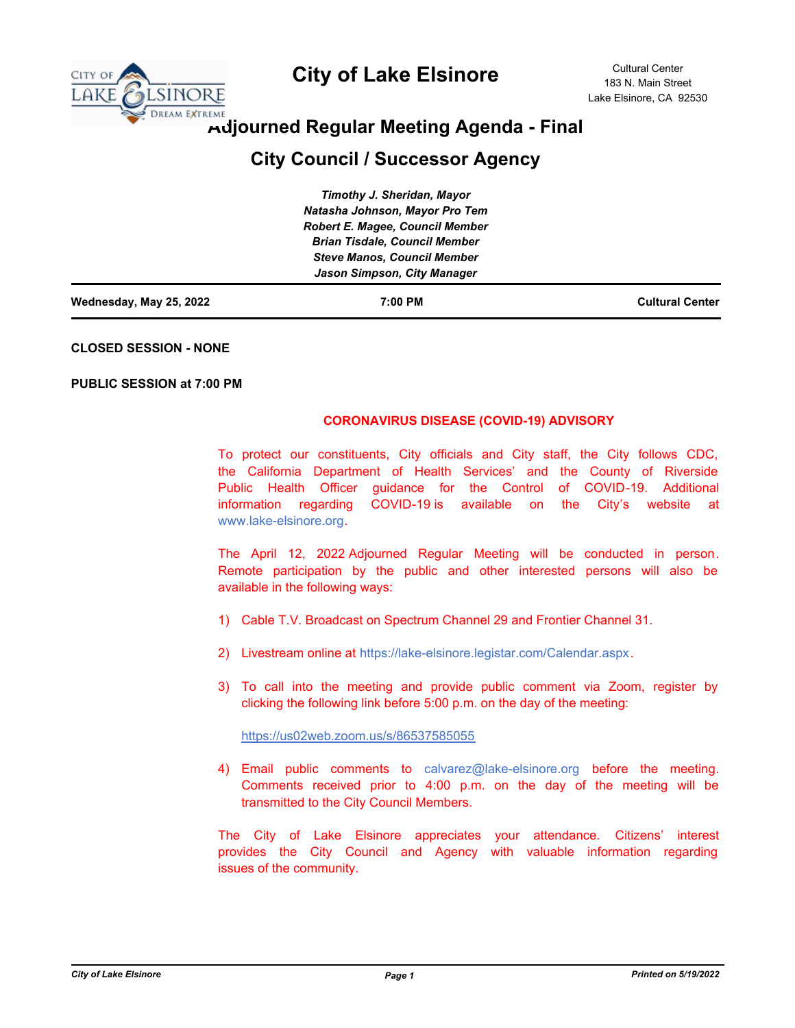

# **City of Lake Elsinore**

# **Adjourned Regular Meeting Agenda - Final**

# **City Council / Successor Agency**

| Wednesday, May 25, 2022 | 7:00 PM                                | <b>Cultural Center</b> |
|-------------------------|----------------------------------------|------------------------|
|                         | Jason Simpson, City Manager            |                        |
|                         | <b>Steve Manos, Council Member</b>     |                        |
|                         | <b>Brian Tisdale, Council Member</b>   |                        |
|                         | <b>Robert E. Magee, Council Member</b> |                        |
|                         | Natasha Johnson, Mayor Pro Tem         |                        |
|                         | Timothy J. Sheridan, Mayor             |                        |

**CLOSED SESSION - NONE**

**PUBLIC SESSION at 7:00 PM**

### **CORONAVIRUS DISEASE (COVID-19) ADVISORY**

To protect our constituents, City officials and City staff, the City follows CDC, the California Department of Health Services' and the County of Riverside Public Health Officer guidance for the Control of COVID-19. Additional information regarding COVID-19 is available on the City's website at www.lake-elsinore.org.

The April 12, 2022 Adjourned Regular Meeting will be conducted in person. Remote participation by the public and other interested persons will also be available in the following ways:

- 1) Cable T.V. Broadcast on Spectrum Channel 29 and Frontier Channel 31.
- 2) Livestream online at https://lake-elsinore.legistar.com/Calendar.aspx.
- 3) To call into the meeting and provide public comment via Zoom, register by clicking the following link before 5:00 p.m. on the day of the meeting:

https://us02web.zoom.us/s/86537585055

4) Email public comments to calvarez@lake-elsinore.org before the meeting. Comments received prior to 4:00 p.m. on the day of the meeting will be transmitted to the City Council Members.

The City of Lake Elsinore appreciates your attendance. Citizens' interest provides the City Council and Agency with valuable information regarding issues of the community.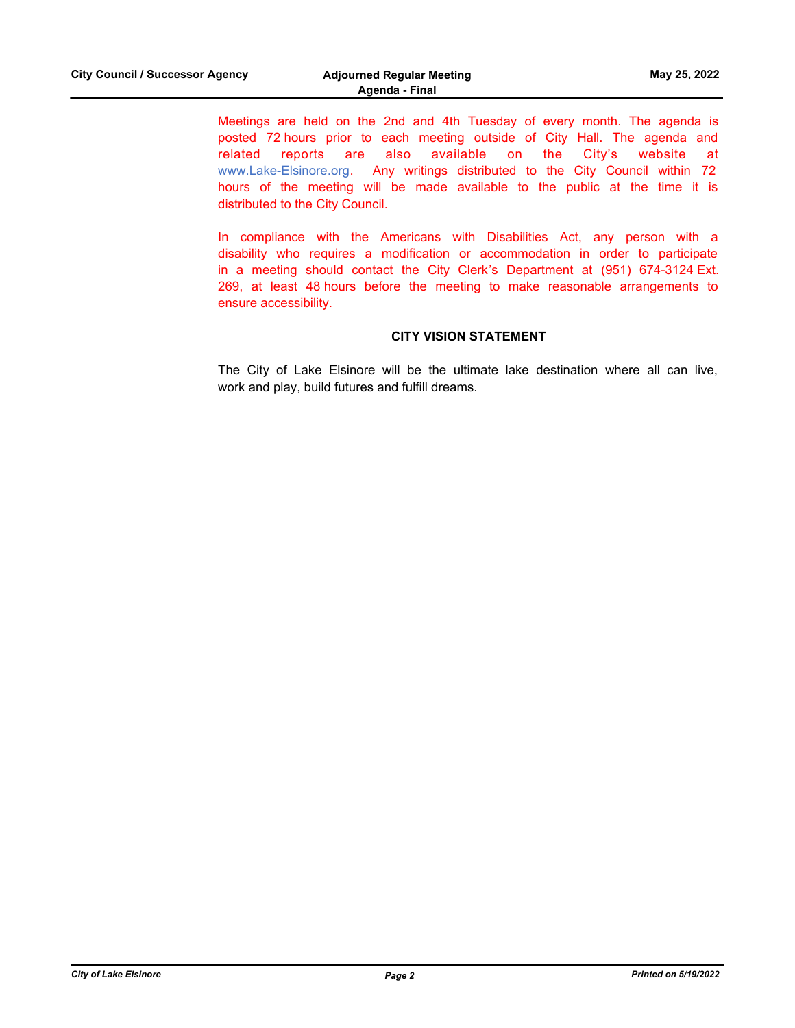Meetings are held on the 2nd and 4th Tuesday of every month. The agenda is posted 72 hours prior to each meeting outside of City Hall. The agenda and related reports are also available on the City's website at www.Lake-Elsinore.org. Any writings distributed to the City Council within 72 hours of the meeting will be made available to the public at the time it is distributed to the City Council.

In compliance with the Americans with Disabilities Act, any person with a disability who requires a modification or accommodation in order to participate in a meeting should contact the City Clerk's Department at (951) 674-3124 Ext. 269, at least 48 hours before the meeting to make reasonable arrangements to ensure accessibility.

## **CITY VISION STATEMENT**

The City of Lake Elsinore will be the ultimate lake destination where all can live, work and play, build futures and fulfill dreams.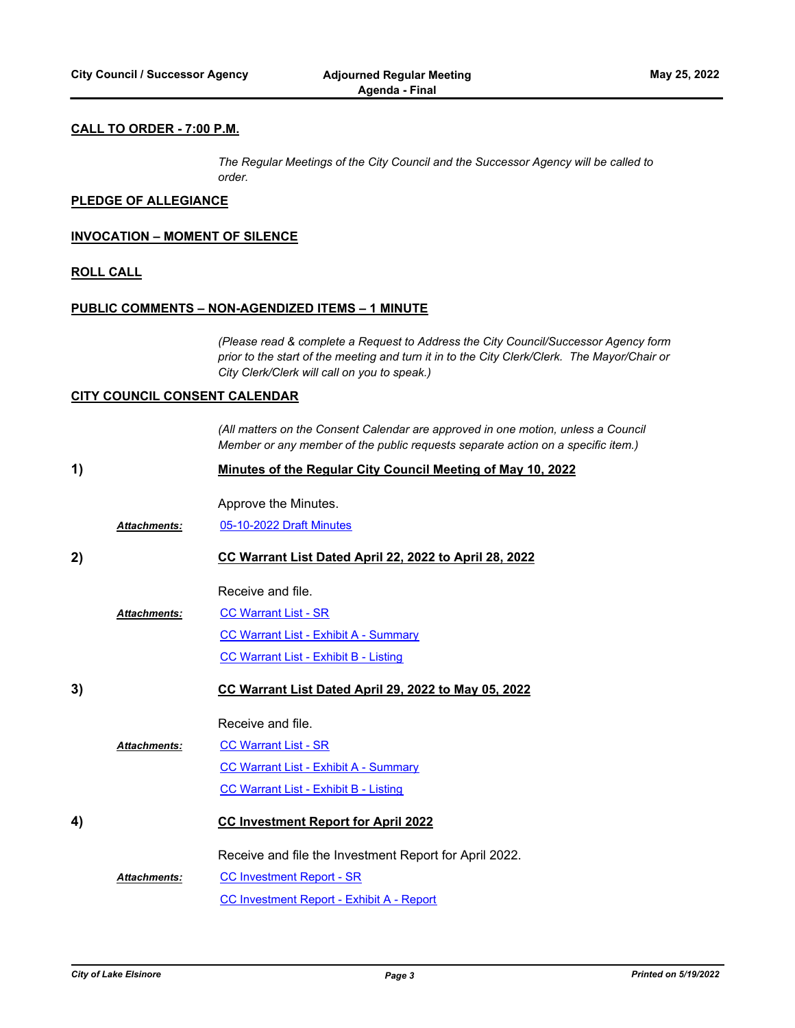# **CALL TO ORDER - 7:00 P.M.**

*The Regular Meetings of the City Council and the Successor Agency will be called to order.*

#### **PLEDGE OF ALLEGIANCE**

#### **INVOCATION – MOMENT OF SILENCE**

#### **ROLL CALL**

#### **PUBLIC COMMENTS – NON-AGENDIZED ITEMS – 1 MINUTE**

*(Please read & complete a Request to Address the City Council/Successor Agency form prior to the start of the meeting and turn it in to the City Clerk/Clerk. The Mayor/Chair or City Clerk/Clerk will call on you to speak.)*

## **CITY COUNCIL CONSENT CALENDAR**

*(All matters on the Consent Calendar are approved in one motion, unless a Council Member or any member of the public requests separate action on a specific item.)*

| 1) |                     | Minutes of the Regular City Council Meeting of May 10, 2022 |  |
|----|---------------------|-------------------------------------------------------------|--|
|    | <b>Attachments:</b> | Approve the Minutes.<br>05-10-2022 Draft Minutes            |  |
| 2) |                     | CC Warrant List Dated April 22, 2022 to April 28, 2022      |  |
|    |                     | Receive and file.                                           |  |
|    | <b>Attachments:</b> | <b>CC Warrant List - SR</b>                                 |  |
|    |                     | <b>CC Warrant List - Exhibit A - Summary</b>                |  |
|    |                     | <b>CC Warrant List - Exhibit B - Listing</b>                |  |
| 3) |                     | CC Warrant List Dated April 29, 2022 to May 05, 2022        |  |
|    |                     | Receive and file.                                           |  |
|    | Attachments:        | <b>CC Warrant List - SR</b>                                 |  |
|    |                     | <b>CC Warrant List - Exhibit A - Summary</b>                |  |
|    |                     | <b>CC Warrant List - Exhibit B - Listing</b>                |  |
| 4) |                     | <b>CC Investment Report for April 2022</b>                  |  |
|    |                     | Receive and file the Investment Report for April 2022.      |  |
|    | <b>Attachments:</b> | <b>CC Investment Report - SR</b>                            |  |
|    |                     | <b>CC Investment Report - Exhibit A - Report</b>            |  |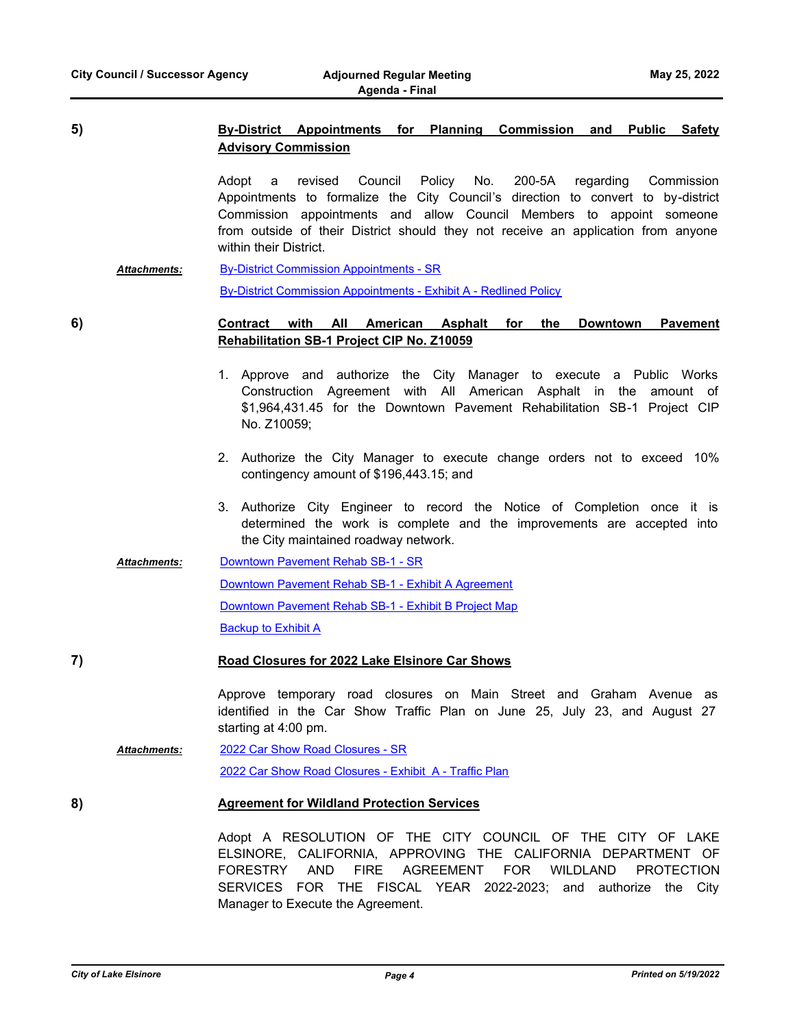# **5) By-District Appointments for Planning Commission and Public Safety Advisory Commission**

Adopt a revised Council Policy No. 200-5A regarding Commission Appointments to formalize the City Council's direction to convert to by-district Commission appointments and allow Council Members to appoint someone from outside of their District should they not receive an application from anyone within their District.

[By-District Commission Appointments - SR](http://lake-elsinore.legistar.com/gateway.aspx?M=F&ID=47a41f21-aa8a-433e-ab49-0366fd0fa520.docx) [By-District Commission Appointments - Exhibit A - Redlined Policy](http://lake-elsinore.legistar.com/gateway.aspx?M=F&ID=7036fd9d-c9e0-4f38-8b06-2548f55465d6.docx) *Attachments:*

**6) Contract with All American Asphalt for the Downtown Pavement Rehabilitation SB-1 Project CIP No. Z10059**

- 1. Approve and authorize the City Manager to execute a Public Works Construction Agreement with All American Asphalt in the amount of \$1,964,431.45 for the Downtown Pavement Rehabilitation SB-1 Project CIP No. Z10059;
- 2. Authorize the City Manager to execute change orders not to exceed 10% contingency amount of \$196,443.15; and
- 3. Authorize City Engineer to record the Notice of Completion once it is determined the work is complete and the improvements are accepted into the City maintained roadway network.
- [Downtown Pavement Rehab SB-1 SR](http://lake-elsinore.legistar.com/gateway.aspx?M=F&ID=5d938a4d-5856-441c-aca2-1ecf9931afc3.doc) *Attachments:*

[Downtown Pavement Rehab SB-1 - Exhibit A Agreement](http://lake-elsinore.legistar.com/gateway.aspx?M=F&ID=bc58936f-382c-48f4-aaf1-980615b21d12.docx)

[Downtown Pavement Rehab SB-1 - Exhibit B Project Map](http://lake-elsinore.legistar.com/gateway.aspx?M=F&ID=a35b9e1b-2fb3-4980-a96f-11f0e5bfab39.pdf)

**[Backup to Exhibit A](http://lake-elsinore.legistar.com/gateway.aspx?M=F&ID=4f0e79a9-80a7-4c01-8315-5cf2d71c97c6.pdf)** 

# **7) Road Closures for 2022 Lake Elsinore Car Shows**

Approve temporary road closures on Main Street and Graham Avenue as identified in the Car Show Traffic Plan on June 25, July 23, and August 27 starting at 4:00 pm.

[2022 Car Show Road Closures - SR](http://lake-elsinore.legistar.com/gateway.aspx?M=F&ID=c3d45c24-5972-424b-9299-4e6a7e90f153.doc) [2022 Car Show Road Closures - Exhibit A - Traffic Plan](http://lake-elsinore.legistar.com/gateway.aspx?M=F&ID=c51fdb43-1652-403c-b90f-ec2323cf8547.docx) *Attachments:*

**8) Agreement for Wildland Protection Services**

Adopt A RESOLUTION OF THE CITY COUNCIL OF THE CITY OF LAKE ELSINORE, CALIFORNIA, APPROVING THE CALIFORNIA DEPARTMENT OF FORESTRY AND FIRE AGREEMENT FOR WILDLAND PROTECTION SERVICES FOR THE FISCAL YEAR 2022-2023; and authorize the City Manager to Execute the Agreement.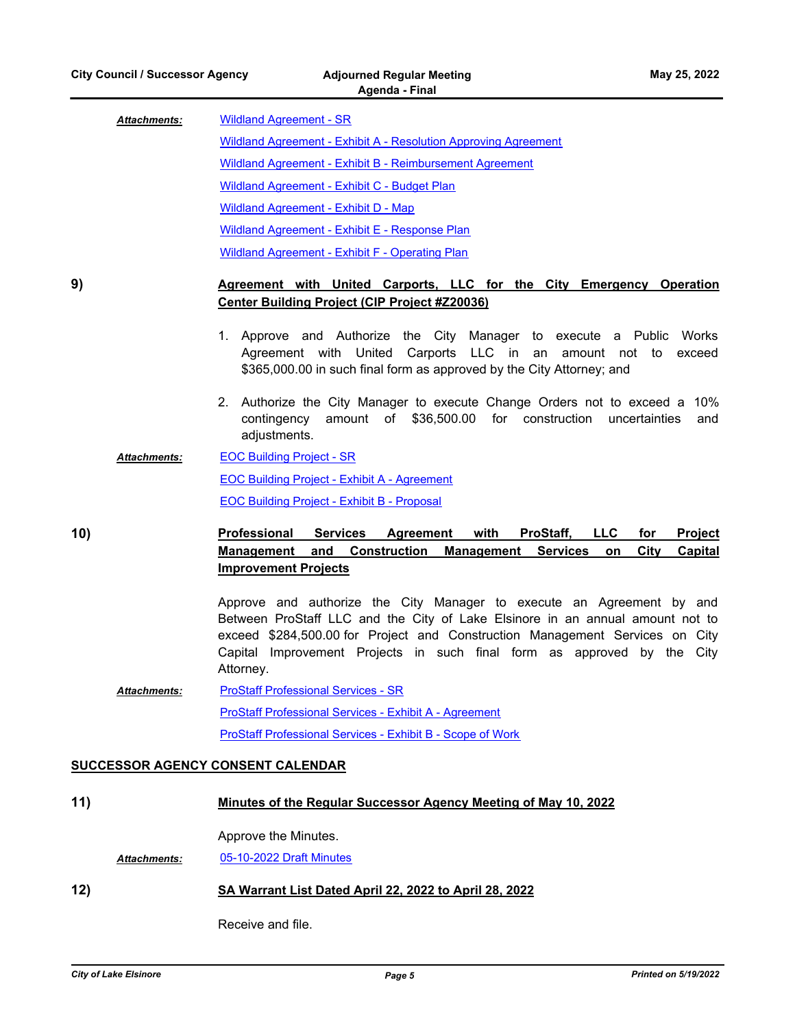| <b>Attachments:</b> | <b>Wildland Agreement - SR</b>                                  |  |
|---------------------|-----------------------------------------------------------------|--|
|                     | Wildland Agreement - Exhibit A - Resolution Approving Agreement |  |
|                     | Wildland Agreement - Exhibit B - Reimbursement Agreement        |  |
|                     | Wildland Agreement - Exhibit C - Budget Plan                    |  |
|                     | Wildland Agreement - Exhibit D - Map                            |  |
|                     | Wildland Agreement - Exhibit E - Response Plan                  |  |
|                     | Wildland Agreement - Exhibit F - Operating Plan                 |  |

# **9) Agreement with United Carports, LLC for the City Emergency Operation Center Building Project (CIP Project #Z20036)**

- 1. Approve and Authorize the City Manager to execute a Public Works Agreement with United Carports LLC in an amount not to exceed \$365,000.00 in such final form as approved by the City Attorney; and
- 2. Authorize the City Manager to execute Change Orders not to exceed a 10% contingency amount of \$36,500.00 for construction uncertainties and adjustments.
- [EOC Building Project SR](http://lake-elsinore.legistar.com/gateway.aspx?M=F&ID=d519cee0-ca48-4c60-bb5a-33dcc44c1567.docx) [EOC Building Project - Exhibit A - Agreement](http://lake-elsinore.legistar.com/gateway.aspx?M=F&ID=362d123e-9e4d-41af-bba1-932ffc5da561.docx) [EOC Building Project - Exhibit B - Proposal](http://lake-elsinore.legistar.com/gateway.aspx?M=F&ID=24a660d0-105b-4715-922e-94784eef7a7b.pdf) *Attachments:*

**10) Professional Services Agreement with ProStaff, LLC for Project** 

# **Management and Construction Management Services on City Capital Improvement Projects**

Approve and authorize the City Manager to execute an Agreement by and Between ProStaff LLC and the City of Lake Elsinore in an annual amount not to exceed \$284,500.00 for Project and Construction Management Services on City Capital Improvement Projects in such final form as approved by the City Attorney.

[ProStaff Professional Services - SR](http://lake-elsinore.legistar.com/gateway.aspx?M=F&ID=a39266d8-4832-4314-9b57-12a0ce126911.docx) [ProStaff Professional Services - Exhibit A - Agreement](http://lake-elsinore.legistar.com/gateway.aspx?M=F&ID=aaff5a15-9821-433a-bd75-c612a8c6000e.docx) [ProStaff Professional Services - Exhibit B - Scope of Work](http://lake-elsinore.legistar.com/gateway.aspx?M=F&ID=8592f670-a1a4-44c0-83ae-a033da1ab596.docx) *Attachments:*

## **SUCCESSOR AGENCY CONSENT CALENDAR**

| 11) |                                                        | <u>Minutes of the Regular Successor Agency Meeting of May 10, 2022</u> |  |
|-----|--------------------------------------------------------|------------------------------------------------------------------------|--|
|     |                                                        | Approve the Minutes.                                                   |  |
|     | <b>Attachments:</b>                                    | 05-10-2022 Draft Minutes                                               |  |
| 12) | SA Warrant List Dated April 22, 2022 to April 28, 2022 |                                                                        |  |

Receive and file.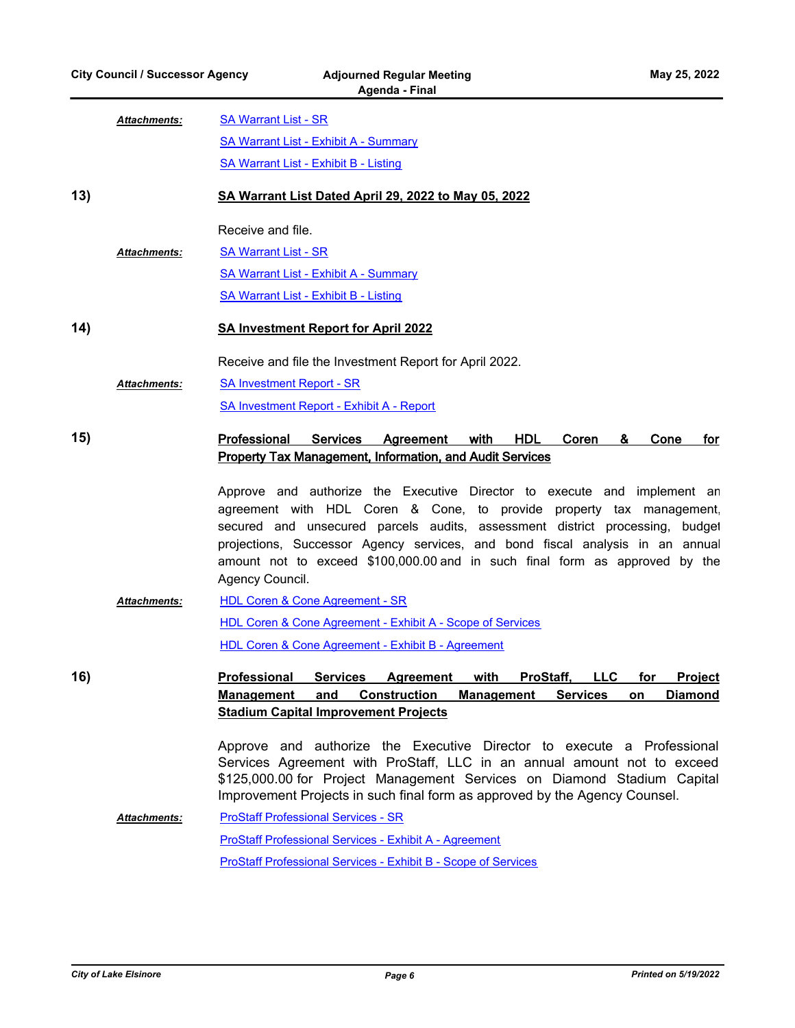|     |                     | Agenua - Finai                                                                                                                                                                                                                                                                                                                                                                                                      |
|-----|---------------------|---------------------------------------------------------------------------------------------------------------------------------------------------------------------------------------------------------------------------------------------------------------------------------------------------------------------------------------------------------------------------------------------------------------------|
|     | <b>Attachments:</b> | <b>SA Warrant List - SR</b>                                                                                                                                                                                                                                                                                                                                                                                         |
|     |                     | <b>SA Warrant List - Exhibit A - Summary</b>                                                                                                                                                                                                                                                                                                                                                                        |
|     |                     | <b>SA Warrant List - Exhibit B - Listing</b>                                                                                                                                                                                                                                                                                                                                                                        |
| 13) |                     | SA Warrant List Dated April 29, 2022 to May 05, 2022                                                                                                                                                                                                                                                                                                                                                                |
|     |                     | Receive and file.                                                                                                                                                                                                                                                                                                                                                                                                   |
|     | <b>Attachments:</b> | <b>SA Warrant List - SR</b>                                                                                                                                                                                                                                                                                                                                                                                         |
|     |                     | <b>SA Warrant List - Exhibit A - Summary</b>                                                                                                                                                                                                                                                                                                                                                                        |
|     |                     | <b>SA Warrant List - Exhibit B - Listing</b>                                                                                                                                                                                                                                                                                                                                                                        |
| 14) |                     | <b>SA Investment Report for April 2022</b>                                                                                                                                                                                                                                                                                                                                                                          |
|     |                     | Receive and file the Investment Report for April 2022.                                                                                                                                                                                                                                                                                                                                                              |
|     | <b>Attachments:</b> | <b>SA Investment Report - SR</b>                                                                                                                                                                                                                                                                                                                                                                                    |
|     |                     | <b>SA Investment Report - Exhibit A - Report</b>                                                                                                                                                                                                                                                                                                                                                                    |
| 15) |                     | Professional<br>Services Agreement<br>with<br><b>HDL</b><br>Coren<br>&<br>Cone<br>for<br><b>Property Tax Management, Information, and Audit Services</b>                                                                                                                                                                                                                                                            |
|     |                     | Approve and authorize the Executive Director to execute and implement an<br>agreement with HDL Coren & Cone, to provide property tax management,<br>secured and unsecured parcels audits, assessment district processing, budget<br>projections, Successor Agency services, and bond fiscal analysis in an annual<br>amount not to exceed \$100,000.00 and in such final form as approved by the<br>Agency Council. |
|     | <b>Attachments:</b> | <b>HDL Coren &amp; Cone Agreement - SR</b>                                                                                                                                                                                                                                                                                                                                                                          |
|     |                     | <b>HDL Coren &amp; Cone Agreement - Exhibit A - Scope of Services</b>                                                                                                                                                                                                                                                                                                                                               |
|     |                     | HDL Coren & Cone Agreement - Exhibit B - Agreement                                                                                                                                                                                                                                                                                                                                                                  |
| 16) |                     | <b>Services</b><br><u>Professional</u><br><b>Agreement</b><br>with<br>ProStaff,<br><b>LLC</b><br>for<br><b>Project</b><br><b>Management</b><br>and<br><b>Construction</b><br><b>Services</b><br><b>Diamond</b><br><b>Management</b><br>on<br><b>Stadium Capital Improvement Projects</b>                                                                                                                            |
|     |                     | Approve and authorize the Executive Director to execute a Professional<br>Services Agreement with ProStaff, LLC in an annual amount not to exceed<br>\$125,000.00 for Project Management Services on Diamond Stadium Capital<br>Improvement Projects in such final form as approved by the Agency Counsel.                                                                                                          |
|     | Attachments:        | <b>ProStaff Professional Services - SR</b>                                                                                                                                                                                                                                                                                                                                                                          |
|     |                     | <b>ProStaff Professional Services - Exhibit A - Agreement</b>                                                                                                                                                                                                                                                                                                                                                       |
|     |                     | <b>ProStaff Professional Services - Exhibit B - Scope of Services</b>                                                                                                                                                                                                                                                                                                                                               |